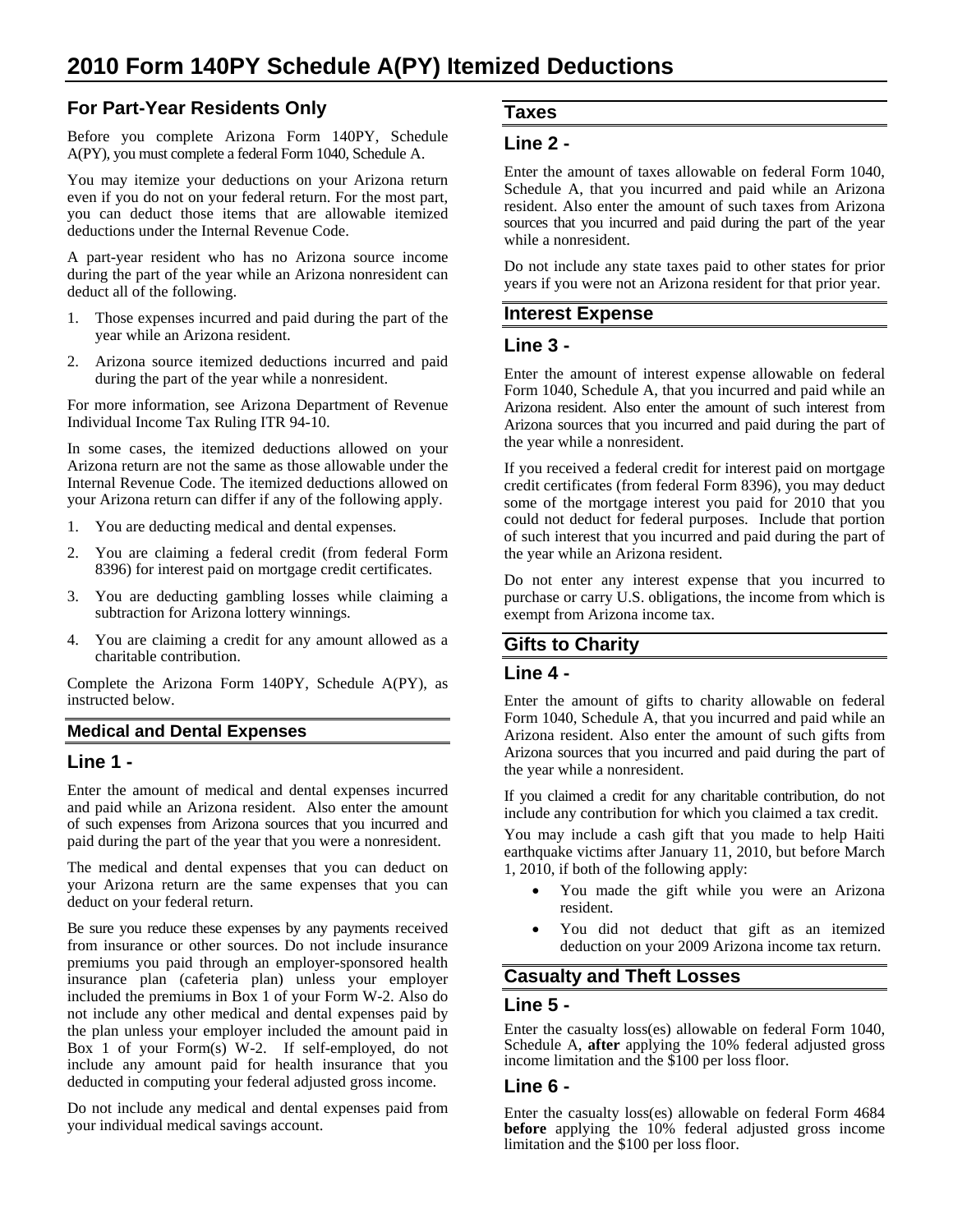## **For Part-Year Residents Only**

Before you complete Arizona Form 140PY, Schedule A(PY), you must complete a federal Form 1040, Schedule A.

You may itemize your deductions on your Arizona return even if you do not on your federal return. For the most part, you can deduct those items that are allowable itemized deductions under the Internal Revenue Code.

A part-year resident who has no Arizona source income during the part of the year while an Arizona nonresident can deduct all of the following.

- 1. Those expenses incurred and paid during the part of the year while an Arizona resident.
- 2. Arizona source itemized deductions incurred and paid during the part of the year while a nonresident.

For more information, see Arizona Department of Revenue Individual Income Tax Ruling ITR 94-10.

In some cases, the itemized deductions allowed on your Arizona return are not the same as those allowable under the Internal Revenue Code. The itemized deductions allowed on your Arizona return can differ if any of the following apply.

- 1. You are deducting medical and dental expenses.
- 2. You are claiming a federal credit (from federal Form 8396) for interest paid on mortgage credit certificates.
- 3. You are deducting gambling losses while claiming a subtraction for Arizona lottery winnings.
- 4. You are claiming a credit for any amount allowed as a charitable contribution.

Complete the Arizona Form 140PY, Schedule A(PY), as instructed below.

#### **Medical and Dental Expenses**

#### **Line 1 -**

Enter the amount of medical and dental expenses incurred and paid while an Arizona resident. Also enter the amount of such expenses from Arizona sources that you incurred and paid during the part of the year that you were a nonresident.

The medical and dental expenses that you can deduct on your Arizona return are the same expenses that you can deduct on your federal return.

Be sure you reduce these expenses by any payments received from insurance or other sources. Do not include insurance premiums you paid through an employer-sponsored health insurance plan (cafeteria plan) unless your employer included the premiums in Box 1 of your Form W-2. Also do not include any other medical and dental expenses paid by the plan unless your employer included the amount paid in Box 1 of your Form(s) W-2. If self-employed, do not include any amount paid for health insurance that you deducted in computing your federal adjusted gross income.

Do not include any medical and dental expenses paid from your individual medical savings account.

### **Taxes**

### **Line 2 -**

Enter the amount of taxes allowable on federal Form 1040, Schedule A, that you incurred and paid while an Arizona resident. Also enter the amount of such taxes from Arizona sources that you incurred and paid during the part of the year while a nonresident.

Do not include any state taxes paid to other states for prior years if you were not an Arizona resident for that prior year.

#### **Interest Expense**

#### **Line 3 -**

Enter the amount of interest expense allowable on federal Form 1040, Schedule A, that you incurred and paid while an Arizona resident. Also enter the amount of such interest from Arizona sources that you incurred and paid during the part of the year while a nonresident.

If you received a federal credit for interest paid on mortgage credit certificates (from federal Form 8396), you may deduct some of the mortgage interest you paid for 2010 that you could not deduct for federal purposes. Include that portion of such interest that you incurred and paid during the part of the year while an Arizona resident.

Do not enter any interest expense that you incurred to purchase or carry U.S. obligations, the income from which is exempt from Arizona income tax.

### **Gifts to Charity**

#### **Line 4 -**

Enter the amount of gifts to charity allowable on federal Form 1040, Schedule A, that you incurred and paid while an Arizona resident. Also enter the amount of such gifts from Arizona sources that you incurred and paid during the part of the year while a nonresident.

If you claimed a credit for any charitable contribution, do not include any contribution for which you claimed a tax credit.

You may include a cash gift that you made to help Haiti earthquake victims after January 11, 2010, but before March 1, 2010, if both of the following apply:

- You made the gift while you were an Arizona resident.
- You did not deduct that gift as an itemized deduction on your 2009 Arizona income tax return.

### **Casualty and Theft Losses**

#### **Line 5 -**

Enter the casualty loss(es) allowable on federal Form 1040, Schedule A, **after** applying the 10% federal adjusted gross income limitation and the \$100 per loss floor.

#### **Line 6 -**

Enter the casualty loss(es) allowable on federal Form 4684 **before** applying the 10% federal adjusted gross income limitation and the \$100 per loss floor.